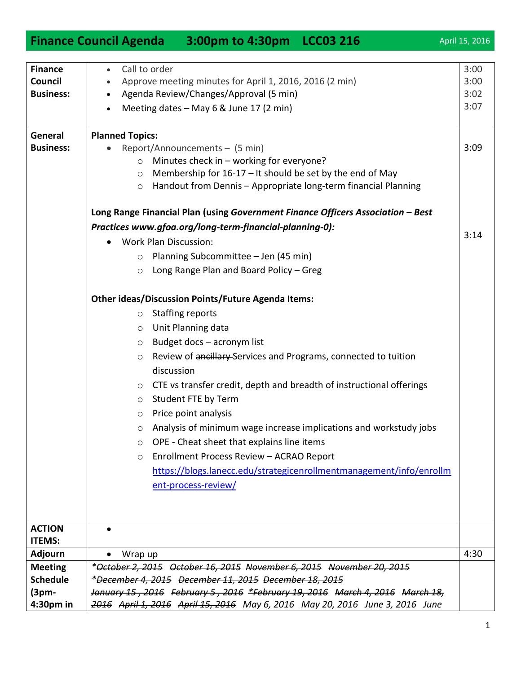|                  | <b>Finance Council Agenda</b><br>3:00pm to 4:30pm LCC03 216                     | April 15, 2016 |
|------------------|---------------------------------------------------------------------------------|----------------|
|                  |                                                                                 |                |
| <b>Finance</b>   | Call to order<br>$\bullet$                                                      | 3:00           |
| Council          | Approve meeting minutes for April 1, 2016, 2016 (2 min)                         | 3:00           |
| <b>Business:</b> | Agenda Review/Changes/Approval (5 min)                                          | 3:02           |
|                  | Meeting dates - May 6 & June 17 (2 min)                                         | 3:07           |
|                  |                                                                                 |                |
| General          | <b>Planned Topics:</b>                                                          |                |
| <b>Business:</b> | Report/Announcements - (5 min)                                                  | 3:09           |
|                  | Minutes check in - working for everyone?<br>$\circ$                             |                |
|                  | Membership for 16-17 - It should be set by the end of May<br>$\circ$            |                |
|                  | Handout from Dennis - Appropriate long-term financial Planning<br>$\circ$       |                |
|                  |                                                                                 |                |
|                  | Long Range Financial Plan (using Government Finance Officers Association - Best |                |
|                  | Practices www.gfoa.org/long-term-financial-planning-0):                         | 3:14           |
|                  | <b>Work Plan Discussion:</b><br>$\bullet$                                       |                |
|                  | Planning Subcommittee - Jen (45 min)<br>$\circ$                                 |                |
|                  | Long Range Plan and Board Policy - Greg<br>$\circ$                              |                |
|                  |                                                                                 |                |
|                  | <b>Other ideas/Discussion Points/Future Agenda Items:</b>                       |                |
|                  | <b>Staffing reports</b><br>$\circ$                                              |                |
|                  | Unit Planning data<br>$\circ$                                                   |                |
|                  | Budget docs - acronym list<br>$\circ$                                           |                |
|                  | Review of ancillary Services and Programs, connected to tuition<br>$\circ$      |                |
|                  | discussion                                                                      |                |
|                  | CTE vs transfer credit, depth and breadth of instructional offerings<br>$\circ$ |                |
|                  | Student FTE by Term<br>$\circ$                                                  |                |
|                  | Price point analysis<br>$\circ$                                                 |                |
|                  | Analysis of minimum wage increase implications and workstudy jobs<br>$\circ$    |                |
|                  | OPE - Cheat sheet that explains line items<br>$\circ$                           |                |
|                  | Enrollment Process Review - ACRAO Report<br>$\circ$                             |                |
|                  | https://blogs.lanecc.edu/strategicenrollmentmanagement/info/enrollm             |                |
|                  | ent-process-review/                                                             |                |
|                  |                                                                                 |                |
|                  |                                                                                 |                |
| <b>ACTION</b>    |                                                                                 |                |
| <b>ITEMS:</b>    |                                                                                 |                |
| Adjourn          | Wrap up<br>$\bullet$                                                            | 4:30           |
| <b>Meeting</b>   | *October 2, 2015 October 16, 2015 November 6, 2015 November 20, 2015            |                |
| <b>Schedule</b>  | *December 4, 2015 December 11, 2015 December 18, 2015                           |                |
| $(3pm-$          | January 15, 2016 February 5, 2016 *February 19, 2016 March 4, 2016 March 18,    |                |
| 4:30pm in        | 2016 April 1, 2016 April 15, 2016 May 6, 2016 May 20, 2016 June 3, 2016 June    |                |
|                  |                                                                                 |                |